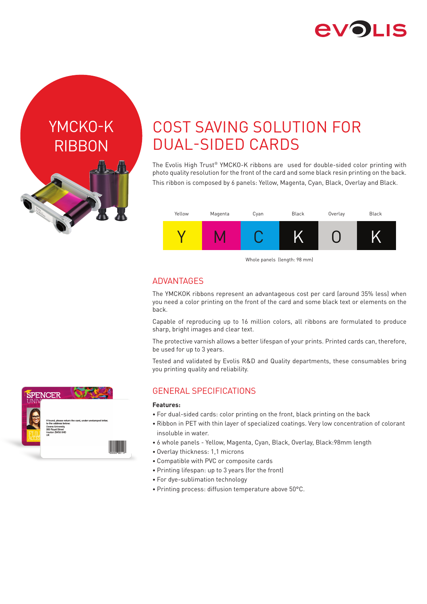

YMCKO-K RIBBON

F



The Evolis High Trust® YMCKO-K ribbons are used for double-sided color printing with photo quality resolution for the front of the card and some black resin printing on the back. This ribbon is composed by 6 panels: Yellow, Magenta, Cyan, Black, Overlay and Black.



Whole panels (length: 98 mm)

### **ADVANTAGES**

The YMCKOK ribbons represent an advantageous cost per card (around 35% less) when you need a color printing on the front of the card and some black text or elements on the back.

Capable of reproducing up to 16 million colors, all ribbons are formulated to produce sharp, bright images and clear text.

The protective varnish allows a better lifespan of your prints. Printed cards can, therefore, be used for up to 3 years.

Tested and validated by Evolis R&D and Quality departments, these consumables bring you printing quality and reliability.

## GENERAL SPECIFICATIONS

### **Features:**

- For dual-sided cards: color printing on the front, black printing on the back
- Ribbon in PET with thin layer of specialized coatings. Very low concentration of colorant insoluble in water.
- 6 whole panels Yellow, Magenta, Cyan, Black, Overlay, Black:98mm length
- Overlay thickness: 1,1 microns
- Compatible with PVC or composite cards
- Printing lifespan: up to 3 years (for the front)
- For dye-sublimation technology
- Printing process: diffusion temperature above 50°C.